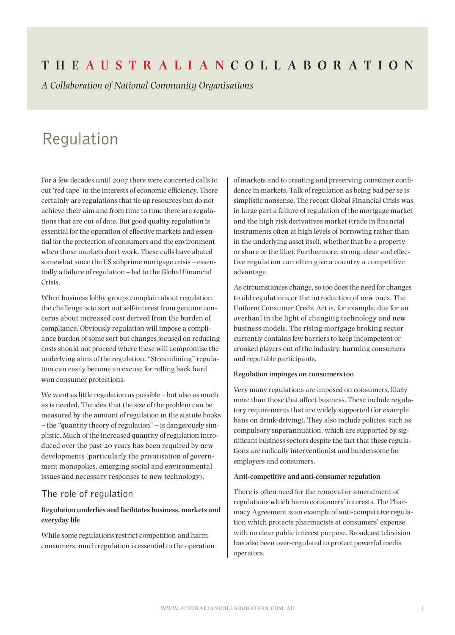## **The Aus t r a l i a n Coll a bor at ion**

*A Collaboration of National Community Organisations*

# Regulation

For a few decades until 2007 there were concerted calls to cut 'red tape' in the interests of economic efficiency. There certainly are regulations that tie up resources but do not achieve their aim and from time to time there are regulations that are out of date. But good quality regulation is essential for the operation of effective markets and essential for the protection of consumers and the environment when those markets don't work. These calls have abated somewhat since the US subprime mortgage crisis – essentially a failure of regulation – led to the Global Financial Crisis.

When business lobby groups complain about regulation, the challenge is to sort out self-interest from genuine concerns about increased cost derived from the burden of compliance. Obviously regulation will impose a compliance burden of some sort but changes focused on reducing costs should not proceed where these will compromise the underlying aims of the regulation. "Streamlining" regulation can easily become an excuse for rolling back hard won consumer protections.

We want as little regulation as possible – but also as much as is needed. The idea that the size of the problem can be measured by the amount of regulation in the statute books – the "quantity theory of regulation" – is dangerously simplistic. Much of the increased quantity of regulation introduced over the past 20 years has been required by new developments (particularly the privatisation of government monopolies, emerging social and environmental issues and necessary responses to new technology).

#### The role of regulation

#### **Regulation underlies and facilitates business, markets and everyday life**

While some regulations restrict competition and harm consumers, much regulation is essential to the operation of markets and to creating and preserving consumer confidence in markets. Talk of regulation as being bad per se is simplistic nonsense. The recent Global Financial Crisis was in large part a failure of regulation of the mortgage market and the high risk derivatives market (trade in financial instruments often at high levels of borrowing rather than in the underlying asset itself, whether that be a property or share or the like). Furthermore, strong, clear and effective regulation can often give a country a competitive advantage.

As circumstances change, so too does the need for changes to old regulations or the introduction of new ones. The Uniform Consumer Credit Act is, for example, due for an overhaul in the light of changing technology and new business models. The rising mortgage broking sector currently contains few barriers to keep incompetent or crooked players out of the industry, harming consumers and reputable participants.

#### **Regulation impinges on consumers too**

Very many regulations are imposed on consumers, likely more than those that affect business. These include regulatory requirements that are widely supported (for example bans on drink-driving). They also include policies, such as compulsory superannuation, which are supported by significant business sectors despite the fact that these regulations are radically interventionist and burdensome for employers and consumers.

#### **Anti-competitive and anti-consumer regulation**

There is often need for the removal or amendment of regulations which harm consumers' interests. The Pharmacy Agreement is an example of anti-competitive regulation which protects pharmacists at consumers' expense, with no clear public interest purpose. Broadcast television has also been over-regulated to protect powerful media operators.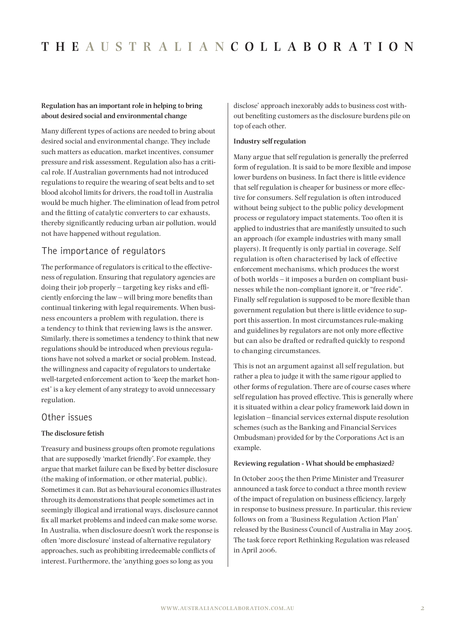#### **Regulation has an important role in helping to bring about desired social and environmental change**

Many different types of actions are needed to bring about desired social and environmental change. They include such matters as education, market incentives, consumer pressure and risk assessment. Regulation also has a critical role. If Australian governments had not introduced regulations to require the wearing of seat belts and to set blood alcohol limits for drivers, the road toll in Australia would be much higher. The elimination of lead from petrol and the fitting of catalytic converters to car exhausts, thereby significantly reducing urban air pollution, would not have happened without regulation.

## The importance of regulators

The performance of regulators is critical to the effectiveness of regulation. Ensuring that regulatory agencies are doing their job properly – targeting key risks and efficiently enforcing the law – will bring more benefits than continual tinkering with legal requirements. When business encounters a problem with regulation, there is a tendency to think that reviewing laws is the answer. Similarly, there is sometimes a tendency to think that new regulations should be introduced when previous regulations have not solved a market or social problem. Instead, the willingness and capacity of regulators to undertake well-targeted enforcement action to 'keep the market honest' is a key element of any strategy to avoid unnecessary regulation.

### Other issues

#### **The disclosure fetish**

Treasury and business groups often promote regulations that are supposedly 'market friendly'. For example, they argue that market failure can be fixed by better disclosure (the making of information, or other material, public). Sometimes it can. But as behavioural economics illustrates through its demonstrations that people sometimes act in seemingly illogical and irrational ways, disclosure cannot fix all market problems and indeed can make some worse. In Australia, when disclosure doesn't work the response is often 'more disclosure' instead of alternative regulatory approaches, such as prohibiting irredeemable conflicts of interest. Furthermore, the 'anything goes so long as you

disclose' approach inexorably adds to business cost without benefiting customers as the disclosure burdens pile on top of each other.

#### **Industry self regulation**

Many argue that self regulation is generally the preferred form of regulation. It is said to be more flexible and impose lower burdens on business. In fact there is little evidence that self regulation is cheaper for business or more effective for consumers. Self regulation is often introduced without being subject to the public policy development process or regulatory impact statements. Too often it is applied to industries that are manifestly unsuited to such an approach (for example industries with many small players). It frequently is only partial in coverage. Self regulation is often characterised by lack of effective enforcement mechanisms, which produces the worst of both worlds – it imposes a burden on compliant businesses while the non-compliant ignore it, or "free ride". Finally self regulation is supposed to be more flexible than government regulation but there is little evidence to support this assertion. In most circumstances rule-making and guidelines by regulators are not only more effective but can also be drafted or redrafted quickly to respond to changing circumstances.

This is not an argument against all self regulation, but rather a plea to judge it with the same rigour applied to other forms of regulation. There are of course cases where self regulation has proved effective. This is generally where it is situated within a clear policy framework laid down in legislation – financial services external dispute resolution schemes (such as the Banking and Financial Services Ombudsman) provided for by the Corporations Act is an example.

#### **Reviewing regulation - What should be emphasized?**

In October 2005 the then Prime Minister and Treasurer announced a task force to conduct a three month review of the impact of regulation on business efficiency, largely in response to business pressure. In particular, this review follows on from a 'Business Regulation Action Plan' released by the Business Council of Australia in May 2005. The task force report Rethinking Regulation was released in April 2006.